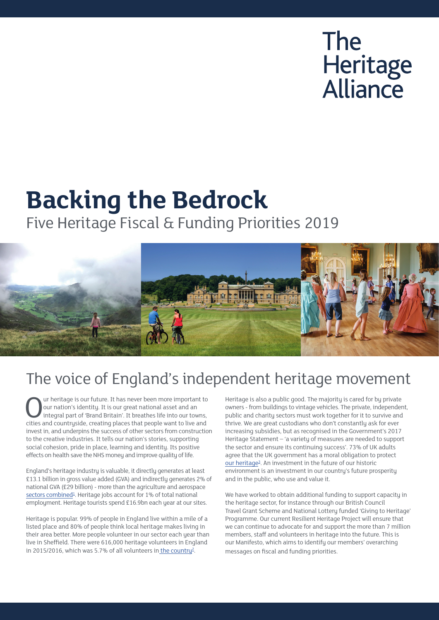# **The** Heritage<br>Alliance

## **Backing the Bedrock**

Five Heritage Fiscal & Funding Priorities 2019



### The voice of England's independent heritage movement

Our heritage is our future. It has never been more important to<br>
our nation's identity. It is our great national asset and an<br>
integral part of 'Brand Britain'. It breathes life into our towns,<br>
cities and countruside crea our nation's identity. It is our great national asset and an cities and countryside, creating places that people want to live and invest in, and underpins the success of other sectors from construction to the creative industries. It tells our nation's stories, supporting social cohesion, pride in place, learning and identity. Its positive effects on health save the NHS money and improve quality of life.

England's heritage industry is valuable, it directly generates at least £13.1 billion in gross value added (GVA) and indirectly generates 2% of national GVA (£29 billion) - more than the [agriculture and aerospace](http://agriculture and aerospace)  sectors combined<sup>1</sup>. Heritage jobs account for 1% of total national employment. Heritage tourists spend £16.9bn each year at our sites.

Heritage is popular. 99% of people in England live within a mile of a listed place and 80% of people think local heritage makes living in their area better. More people volunteer in our sector each year than live in Sheffield. There were 616,000 heritage volunteers in England in 2015/2016, which was 5.7% of all volunteers in the country<sup>2</sup>.

Heritage is also a public good. The majority is cared for by private owners - from buildings to vintage vehicles. The private, independent, public and charity sectors must work together for it to survive and thrive. We are great custodians who don't constantly ask for ever increasing subsidies, but as recognised in the Government's 2017 Heritage Statement – 'a variety of measures are needed to support the sector and ensure its continuing success'. [73% of UK adults](http://73% of UK adults agree that the UK government has a moral obligation to protect)  [agree that the UK government has a moral obligation to protect](http://73% of UK adults agree that the UK government has a moral obligation to protect)  our heritage<sup>3</sup>. An investment in the future of our historic environment is an investment in our country's future prosperity and in the public, who use and value it.

We have worked to obtain additional funding to support capacity in the heritage sector, for instance through our British Council Travel Grant Scheme and National Lottery funded 'Giving to Heritage' Programme. Our current Resilient Heritage Project will ensure that we can continue to advocate for and support the more than 7 million members, staff and volunteers in heritage into the future. This is our Manifesto, which aims to identify our members' overarching messages on fiscal and funding priorities.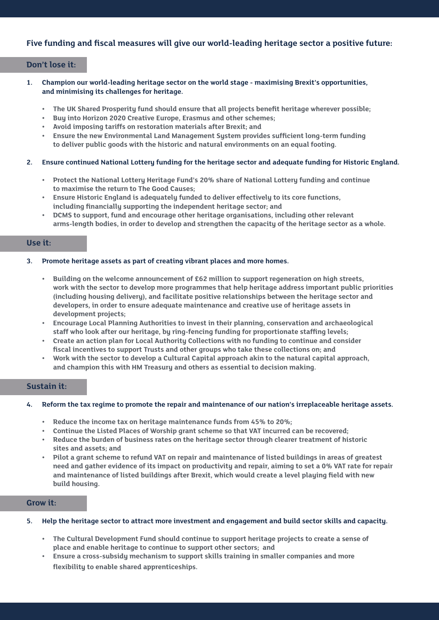#### **Five funding and fiscal measures will give our world-leading heritage sector a positive future:**

#### **Don't lose it:**

- **1. Champion our world-leading heritage sector on the world stage maximising Brexit's opportunities, and minimising its challenges for heritage.** 
	- **• The UK Shared Prosperity fund should ensure that all projects benefit heritage wherever possible;**
	- **• Buy into Horizon 2020 Creative Europe, Erasmus and other schemes;**
	- **• Avoid imposing tariffs on restoration materials after Brexit; and**
	- **• Ensure the new Environmental Land Management System provides sufficient long-term funding to deliver public goods with the historic and natural environments on an equal footing.**

#### **2. Ensure continued National Lottery funding for the heritage sector and adequate funding for Historic England.**

- **• Protect the National Lottery Heritage Fund's 20% share of National Lottery funding and continue to maximise the return to The Good Causes;**
- **• Ensure Historic England is adequately funded to deliver effectively to its core functions, including financially supporting the independent heritage sector; and**
- **• DCMS to support, fund and encourage other heritage organisations, including other relevant arms-length bodies, in order to develop and strengthen the capacity of the heritage sector as a whole.**

#### **Use it:**

#### **3. Promote heritage assets as part of creating vibrant places and more homes.**

- **• Building on the welcome announcement of £62 million to support regeneration on high streets, work with the sector to develop more programmes that help heritage address important public priorities (including housing delivery), and facilitate positive relationships between the heritage sector and developers, in order to ensure adequate maintenance and creative use of heritage assets in development projects;**
- **• Encourage Local Planning Authorities to invest in their planning, conservation and archaeological staff who look after our heritage, by ring-fencing funding for proportionate staffing levels;**
- **• Create an action plan for Local Authority Collections with no funding to continue and consider fiscal incentives to support Trusts and other groups who take these collections on; and**
- **• Work with the sector to develop a Cultural Capital approach akin to the natural capital approach, and champion this with HM Treasury and others as essential to decision making.**

#### **Sustain it:**

#### **4. Reform the tax regime to promote the repair and maintenance of our nation's irreplaceable heritage assets.**

- **• Reduce the income tax on heritage maintenance funds from 45% to 20%;**
- **• Continue the Listed Places of Worship grant scheme so that VAT incurred can be recovered;**
- **• Reduce the burden of business rates on the heritage sector through clearer treatment of historic sites and assets; and**
- **• Pilot a grant scheme to refund VAT on repair and maintenance of listed buildings in areas of greatest need and gather evidence of its impact on productivity and repair, aiming to set a 0% VAT rate for repair and maintenance of listed buildings after Brexit, which would create a level playing field with new build housing.**

#### **Grow it:**

#### **5. Help the heritage sector to attract more investment and engagement and build sector skills and capacity.**

- **• The Cultural Development Fund should continue to support heritage projects to create a sense of place and enable heritage to continue to support other sectors; and**
- **• Ensure a cross-subsidy mechanism to support skills training in smaller companies and more flexibility to enable shared apprenticeships.**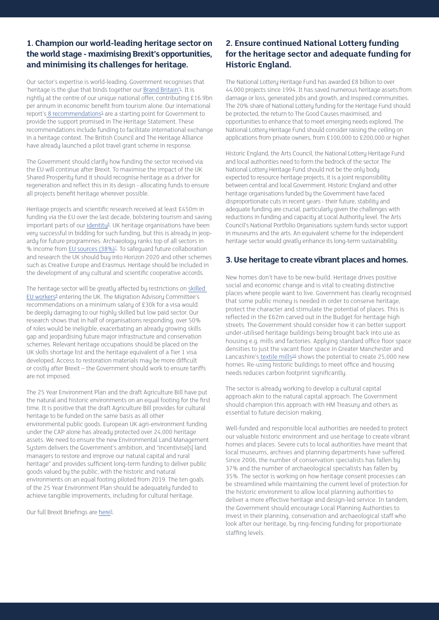#### **1. Champion our world-leading heritage sector on the world stage - maximising Brexit's opportunities, and minimising its challenges for heritage.**

Our sector's expertise is world-leading. Government recognises that 'heritage is the glue that binds together our **Brand Britain'**<sup>4</sup>. It is rightly at the centre of our unique national offer, contributing £16.9bn per annum in economic benefit from tourism alone. [Our international](http://Our international report’s)  [report's](http://Our international report’s) *8* recommendations<sup>5</sup> are a starting point for Government to provide the support promised in The Heritage Statement. These recommendations include funding to facilitate international exchange in a heritage context. The British Council and The Heritage Alliance have already launched a pilot travel grant scheme in response.

The Government should clarify how funding the sector received via the EU will continue after Brexit. To maximise the impact of the UK Shared Prosperity fund it should recognise heritage as a driver for regeneration and reflect this in its design - allocating funds to ensure all projects benefit heritage wherever possible.

Heritage projects and scientific research received at least £450m in funding via the EU over the last decade, bolstering tourism and saving important parts of our *identity<sup>6</sup>*. UK heritage organisations have been very successful in bidding for such funding, but this is already in jeopardy for future programmes. Archaeology ranks top of all sectors in % income from EU sources (38%)<sup>2</sup>. To safeguard future collaboration and research the UK should buy into Horizon 2020 and other schemes such as Creative Europe and Erasmus. Heritage should be included in the development of any cultural and scientific cooperative accords.

The heritage sector will be greatly affected by restrictions on [skilled](https://www.theheritagealliance.org.uk/tha-website/wp-content/uploads/2019/05/Heritage-and-Immigration-Brexit-Briefing.pdf)  [EU workers](https://www.theheritagealliance.org.uk/tha-website/wp-content/uploads/2019/05/Heritage-and-Immigration-Brexit-Briefing.pdf)<sup>8</sup> entering the UK. The Migration Advisory Committee's recommendations on a minimum salary of £30k for a visa would be deeply damaging to our highly skilled but low paid sector. Our research shows that in half of organisations responding, over 50% of roles would be ineligible, exacerbating an already growing skills gap and jeopardising future major infrastructure and conservation schemes. Relevant heritage occupations should be placed on the UK skills shortage list and the heritage equivalent of a Tier 1 visa developed. Access to restoration materials may be more difficult or costly after Brexit – the Government should work to ensure tariffs are not imposed.

The 25 Year Environment Plan and the draft Agriculture Bill have put the natural and historic environments on an equal footing for the first time. It is positive that the draft Agriculture Bill provides for cultural heritage to be funded on the same basis as all other environmental public goods. European UK agri-environment funding under the CAP alone has already protected over 24,000 heritage assets. We need to ensure the new Environmental Land Management System delivers the Government's ambition, and "incentivise[s] land managers to restore and improve our natural capital and rural heritage" and provides sufficient long-term funding to deliver public goods valued by the public, with the historic and natural environments on an equal footing piloted from 2019. The ten goals of the 25 Year Environment Plan should be adequately funded to achieve tangible improvements, including for cultural heritage.

Our full Brexit Briefings are here<sup>9</sup>.

#### **2. Ensure continued National Lottery funding for the heritage sector and adequate funding for Historic England.**

The National Lottery Heritage Fund has awarded £8 billion to over 44,000 projects since 1994. It has saved numerous heritage assets from damage or loss, generated jobs and growth, and inspired communities. The 20% share of National Lottery funding for the Heritage Fund should be protected, the return to The Good Causes maximised, and opportunities to enhance that to meet emerging needs explored. The National Lottery Heritage Fund should consider raising the ceiling on applications from private owners, from £100,000 to £200,000 or higher.

Historic England, the Arts Council, the National Lottery Heritage Fund and local authorities need to form the bedrock of the sector. The National Lottery Heritage Fund should not be the only body expected to resource heritage projects, it is a joint responsibility between central and local Government. Historic England and other heritage organisations funded by the Government have faced disproportionate cuts in recent years - their future, stability and adequate funding are crucial, particularly given the challenges with reductions in funding and capacity at Local Authority level. The Arts Council's National Portfolio Organisations system funds sector support in museums and the arts. An equivalent scheme for the independent heritage sector would greatly enhance its long-term sustainability.

#### **3. Use heritage to create vibrant places and homes.**

New homes don't have to be new-build. Heritage drives positive social and economic change and is vital to creating distinctive places where people want to live. Government has clearly recognised that some public money is needed in order to conserve heritage, protect the character and stimulate the potential of places. This is reflected in the £62m carved out in the Budget for heritage high streets. The Government should consider how it can better support under-utilised heritage buildings being brought back into use as housing e.g. mills and factories. Applying standard office floor space densities to just the vacant floor space in [Greater Manchester and](http://Greater Manchester and Lancashire’s)  [Lancashire's](http://Greater Manchester and Lancashire’s) [textile mills](https://historicengland.org.uk/images-books/publications/engines-of-prosperity-new-uses-old-mills/engines-of-prosperity-nw-exec-summary/)<sup>10</sup> shows the potential to create 25,000 new homes. Re-using historic buildings to meet office and housing needs reduces carbon footprint significantly.

The sector is already working to develop a cultural capital approach akin to the natural capital approach. The Government should champion this approach with HM Treasury and others as essential to future decision making.

Well-funded and responsible local authorities are needed to protect our valuable historic environment and use heritage to create vibrant homes and places. Severe cuts to local authorities have meant that local museums, archives and planning departments have suffered. Since 2006, the number of conservation specialists has fallen by 37% and the number of archaeological specialists has fallen by 35%. The sector is working on how heritage consent processes can be streamlined while maintaining the current level of protection for the historic environment to allow local planning authorities to deliver a more effective heritage and design-led service. In tandem, the Government should encourage Local Planning Authorities to invest in their planning, conservation and archaeological staff who look after our heritage, by ring-fencing funding for proportionate staffing levels.